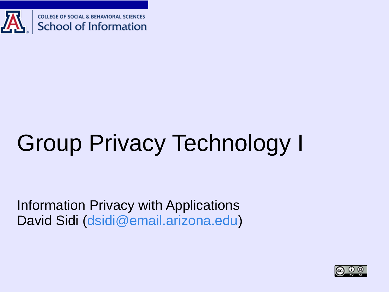

# Group Privacy Technology I

Information Privacy with Applications David Sidi ([dsidi@email.arizona.edu](mailto:dsidi@email.arizona.edu?subject=[ISTA%20488]))

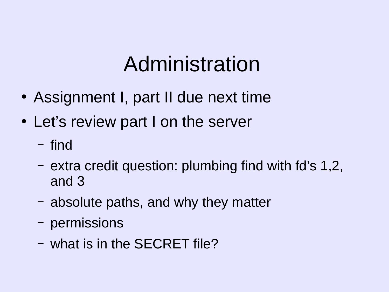# Administration

- Assignment I, part II due next time
- Let's review part I on the server
	- find
	- extra credit question: plumbing find with fd's 1,2, and 3
	- absolute paths, and why they matter
	- permissions
	- what is in the SECRET file?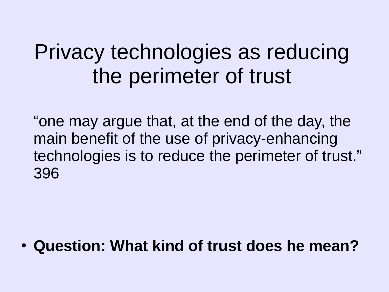## Privacy technologies as reducing the perimeter of trust

"one may argue that, at the end of the day, the main benefit of the use of privacy-enhancing technologies is to reduce the perimeter of trust." 396

● **Question: What kind of trust does he mean?**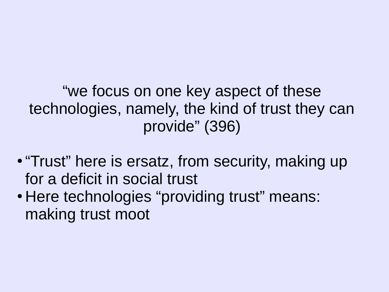"we focus on one key aspect of these technologies, namely, the kind of trust they can provide" (396)

- "Trust" here is ersatz, from security, making up for a deficit in social trust
- Here technologies "providing trust" means: making trust moot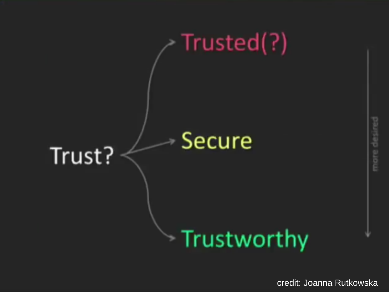

credit: Joanna Rutkowska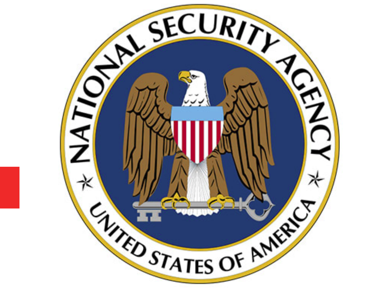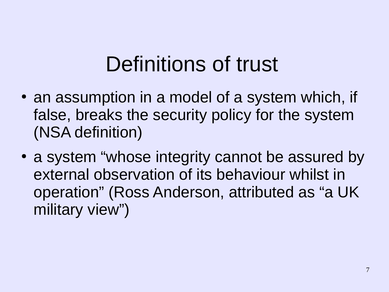# Definitions of trust

- an assumption in a model of a system which, if false, breaks the security policy for the system (NSA definition)
- a system "whose integrity cannot be assured by external observation of its behaviour whilst in operation" (Ross Anderson, attributed as "a UK military view")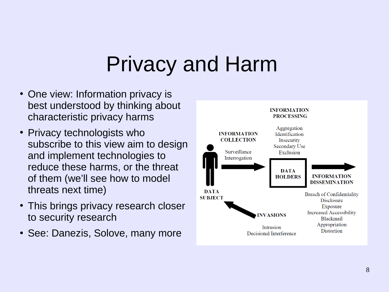# Privacy and Harm

- One view: Information privacy is best understood by thinking about characteristic privacy harms
- Privacy technologists who subscribe to this view aim to design and implement technologies to reduce these harms, or the threat of them (we'll see how to model threats next time)
- This brings privacy research closer to security research
- See: Danezis, Solove, many more

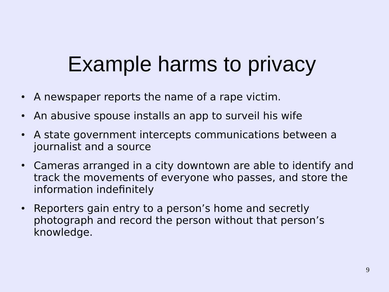# Example harms to privacy

- A newspaper reports the name of a rape victim.
- An abusive spouse installs an app to surveil his wife
- A state government intercepts communications between a journalist and a source
- Cameras arranged in a city downtown are able to identify and track the movements of everyone who passes, and store the information indefinitely
- Reporters gain entry to a person's home and secretly photograph and record the person without that person's knowledge.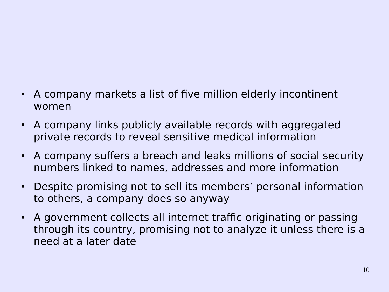- A company markets a list of five million elderly incontinent women
- A company links publicly available records with aggregated private records to reveal sensitive medical information
- A company suffers a breach and leaks millions of social security numbers linked to names, addresses and more information
- Despite promising not to sell its members' personal information to others, a company does so anyway
- A government collects all internet traffic originating or passing through its country, promising not to analyze it unless there is a need at a later date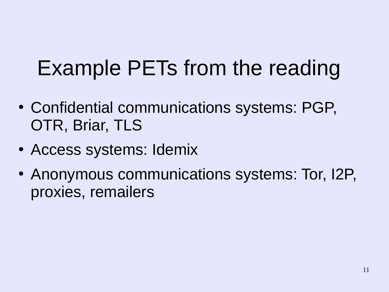# Example PETs from the reading

- Confidential communications systems: PGP, OTR, Briar, TLS
- Access systems: Idemix
- Anonymous communications systems: Tor, I2P, proxies, remailers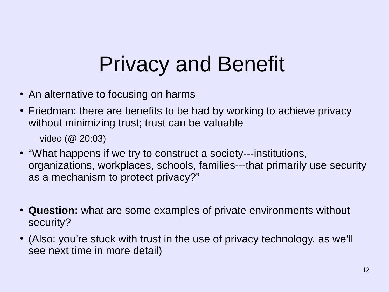# Privacy and Benefit

- An alternative to focusing on harms
- Friedman: there are benefits to be had by working to achieve privacy without minimizing trust; trust can be valuable
	- video (@ 20:03)
- "What happens if we try to construct a society---institutions, organizations, workplaces, schools, families---that primarily use security as a mechanism to protect privacy?"
- **Question:** what are some examples of private environments without security?
- (Also: you're stuck with trust in the use of privacy technology, as we'll see next time in more detail)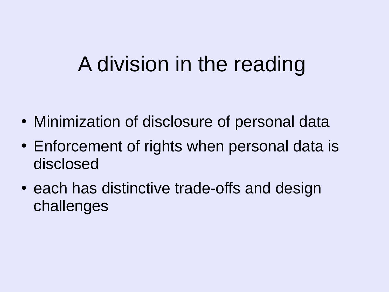# A division in the reading

- Minimization of disclosure of personal data
- Enforcement of rights when personal data is disclosed
- each has distinctive trade-offs and design challenges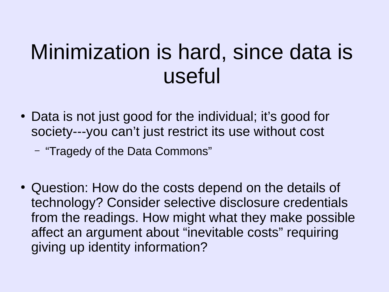# Minimization is hard, since data is useful

- Data is not just good for the individual; it's good for society---you can't just restrict its use without cost
	- "Tragedy of the Data Commons"
- Question: How do the costs depend on the details of technology? Consider selective disclosure credentials from the readings. How might what they make possible affect an argument about "inevitable costs" requiring giving up identity information?